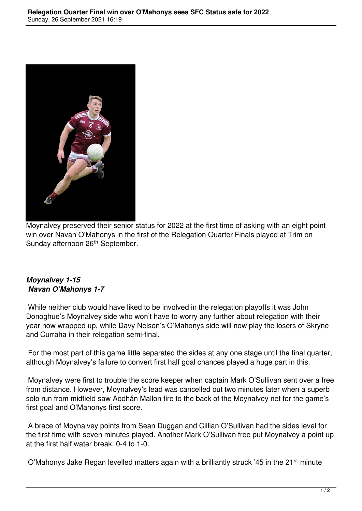

Moynalvey preserved their senior status for 2022 at the first time of asking with an eight point win over Navan O'Mahonys in the first of the Relegation Quarter Finals played at Trim on Sunday afternoon 26<sup>th</sup> September.

## *Moynalvey 1-15 Navan O'Mahonys 1-7*

 While neither club would have liked to be involved in the relegation playoffs it was John Donoghue's Moynalvey side who won't have to worry any further about relegation with their year now wrapped up, while Davy Nelson's O'Mahonys side will now play the losers of Skryne and Curraha in their relegation semi-final.

 For the most part of this game little separated the sides at any one stage until the final quarter, although Moynalvey's failure to convert first half goal chances played a huge part in this.

 Moynalvey were first to trouble the score keeper when captain Mark O'Sullivan sent over a free from distance. However, Moynalvey's lead was cancelled out two minutes later when a superb solo run from midfield saw Aodhán Mallon fire to the back of the Moynalvey net for the game's first goal and O'Mahonys first score.

 A brace of Moynalvey points from Sean Duggan and Cillian O'Sullivan had the sides level for the first time with seven minutes played. Another Mark O'Sullivan free put Moynalvey a point up at the first half water break, 0-4 to 1-0.

O'Mahonys Jake Regan levelled matters again with a brilliantly struck '45 in the 21<sup>st</sup> minute